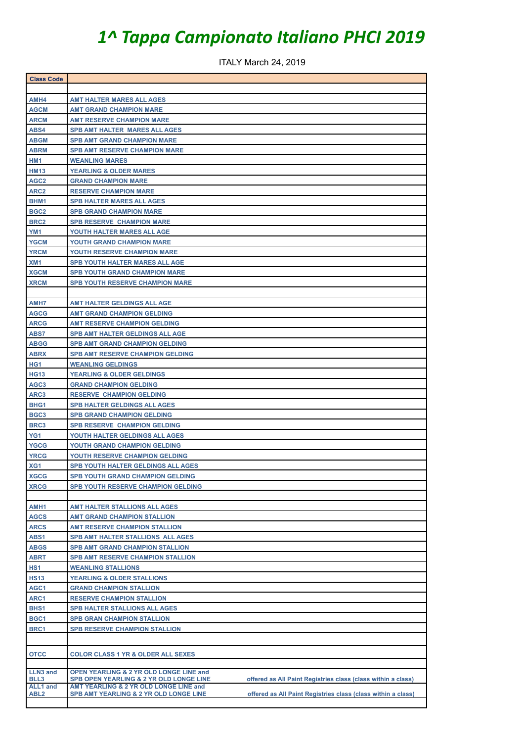## *1^ Tappa Campionato Italiano PHCI 2019*

ITALY March 24, 2019

| <b>Class Code</b>   |                                                                                                         |  |  |
|---------------------|---------------------------------------------------------------------------------------------------------|--|--|
|                     |                                                                                                         |  |  |
| AMH4                | <b>AMT HALTER MARES ALL AGES</b>                                                                        |  |  |
| <b>AGCM</b>         | <b>AMT GRAND CHAMPION MARE</b>                                                                          |  |  |
| <b>ARCM</b>         | <b>AMT RESERVE CHAMPION MARE</b>                                                                        |  |  |
| ABS4                | <b>SPB AMT HALTER MARES ALL AGES</b>                                                                    |  |  |
| <b>ABGM</b>         | <b>SPB AMT GRAND CHAMPION MARE</b>                                                                      |  |  |
| <b>ABRM</b>         | <b>SPB AMT RESERVE CHAMPION MARE</b>                                                                    |  |  |
| HM1                 | <b>WEANLING MARES</b>                                                                                   |  |  |
| <b>HM13</b>         | <b>YEARLING &amp; OLDER MARES</b>                                                                       |  |  |
| AGC <sub>2</sub>    | <b>GRAND CHAMPION MARE</b>                                                                              |  |  |
| ARC <sub>2</sub>    | <b>RESERVE CHAMPION MARE</b>                                                                            |  |  |
| BHM1                | <b>SPB HALTER MARES ALL AGES</b>                                                                        |  |  |
| BGC <sub>2</sub>    | <b>SPB GRAND CHAMPION MARE</b>                                                                          |  |  |
| BRC <sub>2</sub>    | <b>SPB RESERVE CHAMPION MARE</b>                                                                        |  |  |
| YM <sub>1</sub>     | YOUTH HALTER MARES ALL AGE                                                                              |  |  |
| <b>YGCM</b>         | <b>YOUTH GRAND CHAMPION MARE</b>                                                                        |  |  |
| <b>YRCM</b>         | <b>YOUTH RESERVE CHAMPION MARE</b>                                                                      |  |  |
| XM <sub>1</sub>     | <b>SPB YOUTH HALTER MARES ALL AGE</b>                                                                   |  |  |
| <b>XGCM</b>         | <b>SPB YOUTH GRAND CHAMPION MARE</b>                                                                    |  |  |
| <b>XRCM</b>         | <b>SPB YOUTH RESERVE CHAMPION MARE</b>                                                                  |  |  |
|                     |                                                                                                         |  |  |
| AMH7                | AMT HALTER GELDINGS ALL AGE                                                                             |  |  |
| <b>AGCG</b>         | <b>AMT GRAND CHAMPION GELDING</b>                                                                       |  |  |
| <b>ARCG</b>         | <b>AMT RESERVE CHAMPION GELDING</b>                                                                     |  |  |
| <b>ABS7</b>         | SPB AMT HALTER GELDINGS ALL AGE                                                                         |  |  |
| <b>ABGG</b>         | <b>SPB AMT GRAND CHAMPION GELDING</b>                                                                   |  |  |
| <b>ABRX</b>         | <b>SPB AMT RESERVE CHAMPION GELDING</b>                                                                 |  |  |
| HG1                 | <b>WEANLING GELDINGS</b>                                                                                |  |  |
| <b>HG13</b>         | <b>YEARLING &amp; OLDER GELDINGS</b>                                                                    |  |  |
| AGC <sub>3</sub>    | <b>GRAND CHAMPION GELDING</b>                                                                           |  |  |
| ARC3                | <b>RESERVE CHAMPION GELDING</b>                                                                         |  |  |
| BHG <sub>1</sub>    | <b>SPB HALTER GELDINGS ALL AGES</b>                                                                     |  |  |
| BGC <sub>3</sub>    | <b>SPB GRAND CHAMPION GELDING</b>                                                                       |  |  |
| BRC3                | <b>SPB RESERVE CHAMPION GELDING</b>                                                                     |  |  |
| YG <sub>1</sub>     | YOUTH HALTER GELDINGS ALL AGES                                                                          |  |  |
| <b>YGCG</b>         | YOUTH GRAND CHAMPION GELDING                                                                            |  |  |
| <b>YRCG</b>         | YOUTH RESERVE CHAMPION GELDING                                                                          |  |  |
| XG1                 | <b>SPB YOUTH HALTER GELDINGS ALL AGES</b>                                                               |  |  |
| <b>XGCG</b>         | <b>SPB YOUTH GRAND CHAMPION GELDING</b>                                                                 |  |  |
| <b>XRCG</b>         | SPB YOUTH RESERVE CHAMPION GELDING                                                                      |  |  |
|                     |                                                                                                         |  |  |
| AMH1<br><b>AGCS</b> | AMT HALTER STALLIONS ALL AGES                                                                           |  |  |
|                     | <b>AMT GRAND CHAMPION STALLION</b>                                                                      |  |  |
| <b>ARCS</b><br>ABS1 | <b>AMT RESERVE CHAMPION STALLION</b><br>SPB AMT HALTER STALLIONS ALL AGES                               |  |  |
| <b>ABGS</b>         | <b>SPB AMT GRAND CHAMPION STALLION</b>                                                                  |  |  |
| <b>ABRT</b>         | SPB AMT RESERVE CHAMPION STALLION                                                                       |  |  |
| HS1                 | <b>WEANLING STALLIONS</b>                                                                               |  |  |
| <b>HS13</b>         | <b>YEARLING &amp; OLDER STALLIONS</b>                                                                   |  |  |
| AGC1                | <b>GRAND CHAMPION STALLION</b>                                                                          |  |  |
| ARC1                | <b>RESERVE CHAMPION STALLION</b>                                                                        |  |  |
| BHS1                | SPB HALTER STALLIONS ALL AGES                                                                           |  |  |
| BGC1                | <b>SPB GRAN CHAMPION STALLION</b>                                                                       |  |  |
| BRC1                | <b>SPB RESERVE CHAMPION STALLION</b>                                                                    |  |  |
|                     |                                                                                                         |  |  |
|                     |                                                                                                         |  |  |
| <b>OTCC</b>         | <b>COLOR CLASS 1 YR &amp; OLDER ALL SEXES</b>                                                           |  |  |
| <b>LLN3 and</b>     | <b>OPEN YEARLING &amp; 2 YR OLD LONGE LINE and</b>                                                      |  |  |
| BLL3                | SPB OPEN YEARLING & 2 YR OLD LONGE LINE<br>offered as All Paint Registries class (class within a class) |  |  |
| <b>ALL1</b> and     | AMT YEARLING & 2 YR OLD LONGE LINE and                                                                  |  |  |
| ABL <sub>2</sub>    | SPB AMT YEARLING & 2 YR OLD LONGE LINE<br>offered as All Paint Registries class (class within a class)  |  |  |